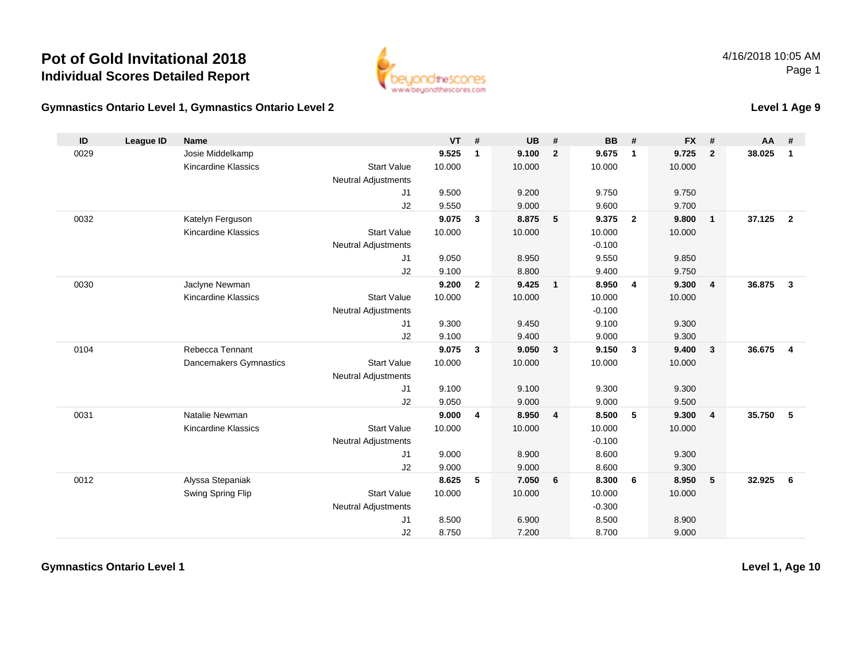

**Level 1 Age 9**

### **Gymnastics Ontario Level 1, Gymnastics Ontario Level 2**

| ID   | <b>League ID</b> | <b>Name</b>                |                            | <b>VT</b> | #              | <b>UB</b> | #                       | <b>BB</b> | #                       | <b>FX</b> | #                       | <b>AA</b> | #                       |
|------|------------------|----------------------------|----------------------------|-----------|----------------|-----------|-------------------------|-----------|-------------------------|-----------|-------------------------|-----------|-------------------------|
| 0029 |                  | Josie Middelkamp           |                            | 9.525     | $\mathbf{1}$   | 9.100     | $\overline{2}$          | 9.675     | $\overline{1}$          | 9.725     | $\overline{2}$          | 38.025    | 1                       |
|      |                  | <b>Kincardine Klassics</b> | <b>Start Value</b>         | 10.000    |                | 10.000    |                         | 10.000    |                         | 10.000    |                         |           |                         |
|      |                  |                            | <b>Neutral Adjustments</b> |           |                |           |                         |           |                         |           |                         |           |                         |
|      |                  |                            | J1                         | 9.500     |                | 9.200     |                         | 9.750     |                         | 9.750     |                         |           |                         |
|      |                  |                            | J2                         | 9.550     |                | 9.000     |                         | 9.600     |                         | 9.700     |                         |           |                         |
| 0032 |                  | Katelyn Ferguson           |                            | 9.075     | $\mathbf{3}$   | 8.875     | $-5$                    | 9.375     | $\overline{\mathbf{2}}$ | 9.800     | $\overline{1}$          | 37.125    | $\overline{2}$          |
|      |                  | <b>Kincardine Klassics</b> | <b>Start Value</b>         | 10.000    |                | 10.000    |                         | 10.000    |                         | 10.000    |                         |           |                         |
|      |                  |                            | <b>Neutral Adjustments</b> |           |                |           |                         | $-0.100$  |                         |           |                         |           |                         |
|      |                  |                            | J1                         | 9.050     |                | 8.950     |                         | 9.550     |                         | 9.850     |                         |           |                         |
|      |                  |                            | J2                         | 9.100     |                | 8.800     |                         | 9.400     |                         | 9.750     |                         |           |                         |
| 0030 |                  | Jaclyne Newman             |                            | 9.200     | $\overline{2}$ | 9.425     | $\overline{1}$          | 8.950     | $\overline{4}$          | 9.300     | $\overline{4}$          | 36.875    | $\mathbf{3}$            |
|      |                  | <b>Kincardine Klassics</b> | <b>Start Value</b>         | 10.000    |                | 10.000    |                         | 10.000    |                         | 10.000    |                         |           |                         |
|      |                  |                            | <b>Neutral Adjustments</b> |           |                |           |                         | $-0.100$  |                         |           |                         |           |                         |
|      |                  |                            | J1                         | 9.300     |                | 9.450     |                         | 9.100     |                         | 9.300     |                         |           |                         |
|      |                  |                            | J2                         | 9.100     |                | 9.400     |                         | 9.000     |                         | 9.300     |                         |           |                         |
| 0104 |                  | Rebecca Tennant            |                            | 9.075     | 3              | 9.050     | $\overline{\mathbf{3}}$ | 9.150     | $\mathbf{3}$            | 9.400     | $\overline{\mathbf{3}}$ | 36.675    | $\overline{\mathbf{4}}$ |
|      |                  | Dancemakers Gymnastics     | <b>Start Value</b>         | 10.000    |                | 10.000    |                         | 10.000    |                         | 10.000    |                         |           |                         |
|      |                  |                            | <b>Neutral Adjustments</b> |           |                |           |                         |           |                         |           |                         |           |                         |
|      |                  |                            | J1                         | 9.100     |                | 9.100     |                         | 9.300     |                         | 9.300     |                         |           |                         |
|      |                  |                            | J2                         | 9.050     |                | 9.000     |                         | 9.000     |                         | 9.500     |                         |           |                         |
| 0031 |                  | Natalie Newman             |                            | 9.000     | 4              | 8.950     | $\overline{4}$          | 8.500     | 5                       | 9.300     | $\overline{4}$          | 35.750    | 5                       |
|      |                  | Kincardine Klassics        | <b>Start Value</b>         | 10.000    |                | 10.000    |                         | 10.000    |                         | 10.000    |                         |           |                         |
|      |                  |                            | <b>Neutral Adjustments</b> |           |                |           |                         | $-0.100$  |                         |           |                         |           |                         |
|      |                  |                            | J1                         | 9.000     |                | 8.900     |                         | 8.600     |                         | 9.300     |                         |           |                         |
|      |                  |                            | J2                         | 9.000     |                | 9.000     |                         | 8.600     |                         | 9.300     |                         |           |                         |
| 0012 |                  | Alyssa Stepaniak           |                            | 8.625     | 5              | 7.050     | 6                       | 8.300     | - 6                     | 8.950     | 5                       | 32.925    | 6                       |
|      |                  | Swing Spring Flip          | <b>Start Value</b>         | 10.000    |                | 10.000    |                         | 10.000    |                         | 10.000    |                         |           |                         |
|      |                  |                            | <b>Neutral Adjustments</b> |           |                |           |                         | $-0.300$  |                         |           |                         |           |                         |
|      |                  |                            | J1                         | 8.500     |                | 6.900     |                         | 8.500     |                         | 8.900     |                         |           |                         |
|      |                  |                            | J2                         | 8.750     |                | 7.200     |                         | 8.700     |                         | 9.000     |                         |           |                         |

**Gymnastics Ontario Level 1**

**Level 1, Age 10**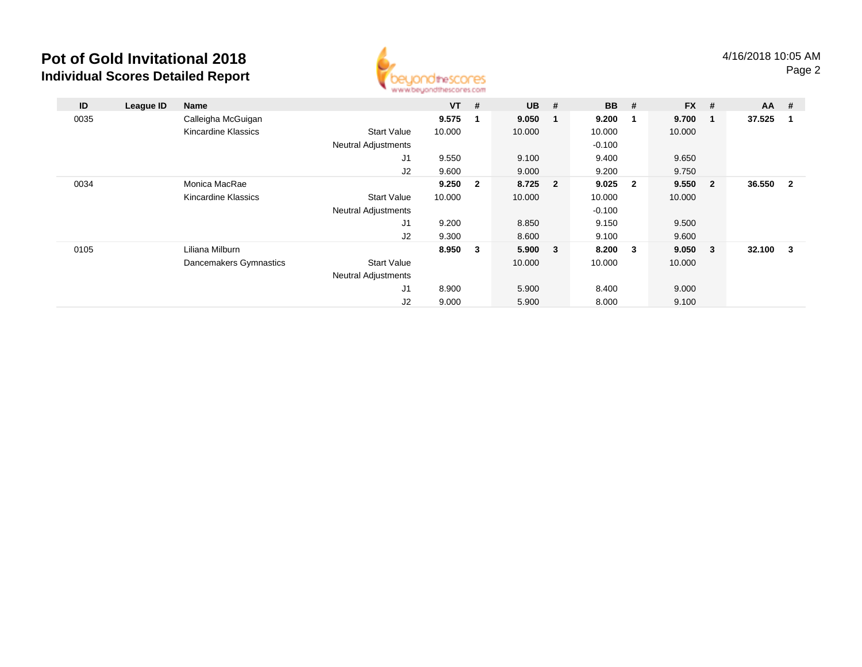

| ID   | League ID | <b>Name</b>            |                            | $VT$ # |                | <b>UB</b> | # | <b>BB</b> # |                         | $FX$ #  |                         | <b>AA</b> | #                       |
|------|-----------|------------------------|----------------------------|--------|----------------|-----------|---|-------------|-------------------------|---------|-------------------------|-----------|-------------------------|
| 0035 |           | Calleigha McGuigan     |                            | 9.575  | 1              | 9.050     | 1 | 9.200       |                         | 9.700   | $\blacksquare$          | 37.525    | $\overline{\mathbf{1}}$ |
|      |           | Kincardine Klassics    | <b>Start Value</b>         | 10.000 |                | 10.000    |   | 10.000      |                         | 10.000  |                         |           |                         |
|      |           |                        | <b>Neutral Adjustments</b> |        |                |           |   | $-0.100$    |                         |         |                         |           |                         |
|      |           |                        | J1                         | 9.550  |                | 9.100     |   | 9.400       |                         | 9.650   |                         |           |                         |
|      |           |                        | J2                         | 9.600  |                | 9.000     |   | 9.200       |                         | 9.750   |                         |           |                         |
| 0034 |           | Monica MacRae          |                            | 9.250  | $\overline{2}$ | 8.725 2   |   | 9.025       | $\overline{\mathbf{2}}$ | 9.550 2 |                         | 36.550    | $\overline{\mathbf{2}}$ |
|      |           | Kincardine Klassics    | <b>Start Value</b>         | 10.000 |                | 10.000    |   | 10.000      |                         | 10.000  |                         |           |                         |
|      |           |                        | <b>Neutral Adjustments</b> |        |                |           |   | $-0.100$    |                         |         |                         |           |                         |
|      |           |                        | J <sub>1</sub>             | 9.200  |                | 8.850     |   | 9.150       |                         | 9.500   |                         |           |                         |
|      |           |                        | J2                         | 9.300  |                | 8.600     |   | 9.100       |                         | 9.600   |                         |           |                         |
| 0105 |           | Liliana Milburn        |                            | 8.950  | $\mathbf{3}$   | 5.900     | 3 | 8.200       | $\mathbf{3}$            | 9.050   | $\overline{\mathbf{3}}$ | 32.100    | $\mathbf{3}$            |
|      |           | Dancemakers Gymnastics | <b>Start Value</b>         |        |                | 10.000    |   | 10.000      |                         | 10.000  |                         |           |                         |
|      |           |                        | <b>Neutral Adjustments</b> |        |                |           |   |             |                         |         |                         |           |                         |
|      |           |                        | J1                         | 8.900  |                | 5.900     |   | 8.400       |                         | 9.000   |                         |           |                         |
|      |           |                        | J2                         | 9.000  |                | 5.900     |   | 8.000       |                         | 9.100   |                         |           |                         |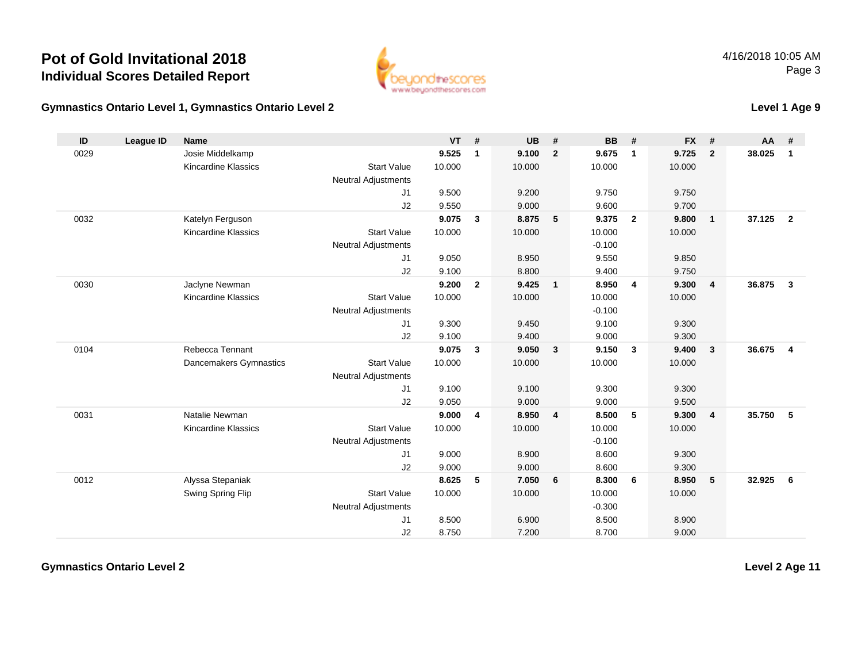

**Level 1 Age 9**

### **Gymnastics Ontario Level 1, Gymnastics Ontario Level 2**

| ID   | <b>League ID</b> | <b>Name</b>                |                            | <b>VT</b> | #              | <b>UB</b> | #              | <b>BB</b> | #                       | <b>FX</b> | #              | <b>AA</b> | #              |
|------|------------------|----------------------------|----------------------------|-----------|----------------|-----------|----------------|-----------|-------------------------|-----------|----------------|-----------|----------------|
| 0029 |                  | Josie Middelkamp           |                            | 9.525     | $\mathbf{1}$   | 9.100     | $\overline{2}$ | 9.675     | $\overline{1}$          | 9.725     | $\overline{2}$ | 38.025    | $\mathbf{1}$   |
|      |                  | <b>Kincardine Klassics</b> | <b>Start Value</b>         | 10.000    |                | 10.000    |                | 10.000    |                         | 10.000    |                |           |                |
|      |                  |                            | <b>Neutral Adjustments</b> |           |                |           |                |           |                         |           |                |           |                |
|      |                  |                            | J1                         | 9.500     |                | 9.200     |                | 9.750     |                         | 9.750     |                |           |                |
|      |                  |                            | J2                         | 9.550     |                | 9.000     |                | 9.600     |                         | 9.700     |                |           |                |
| 0032 |                  | Katelyn Ferguson           |                            | 9.075     | $\mathbf{3}$   | 8.875     | 5              | 9.375     | $\overline{\mathbf{2}}$ | 9.800     | $\overline{1}$ | 37.125    | $\overline{2}$ |
|      |                  | <b>Kincardine Klassics</b> | <b>Start Value</b>         | 10.000    |                | 10.000    |                | 10.000    |                         | 10.000    |                |           |                |
|      |                  |                            | <b>Neutral Adjustments</b> |           |                |           |                | $-0.100$  |                         |           |                |           |                |
|      |                  |                            | J1                         | 9.050     |                | 8.950     |                | 9.550     |                         | 9.850     |                |           |                |
|      |                  |                            | J2                         | 9.100     |                | 8.800     |                | 9.400     |                         | 9.750     |                |           |                |
| 0030 |                  | Jaclyne Newman             |                            | 9.200     | $\overline{2}$ | 9.425     | $\overline{1}$ | 8.950     | $\overline{4}$          | 9.300     | $\overline{4}$ | 36.875    | $\mathbf{3}$   |
|      |                  | <b>Kincardine Klassics</b> | <b>Start Value</b>         | 10.000    |                | 10.000    |                | 10.000    |                         | 10.000    |                |           |                |
|      |                  |                            | <b>Neutral Adjustments</b> |           |                |           |                | $-0.100$  |                         |           |                |           |                |
|      |                  |                            | J1                         | 9.300     |                | 9.450     |                | 9.100     |                         | 9.300     |                |           |                |
|      |                  |                            | J2                         | 9.100     |                | 9.400     |                | 9.000     |                         | 9.300     |                |           |                |
| 0104 |                  | Rebecca Tennant            |                            | 9.075     | $\mathbf{3}$   | 9.050     | $\mathbf{3}$   | 9.150     | $\overline{\mathbf{3}}$ | 9.400     | $\mathbf{3}$   | 36.675    | $\overline{4}$ |
|      |                  | Dancemakers Gymnastics     | <b>Start Value</b>         | 10.000    |                | 10.000    |                | 10.000    |                         | 10.000    |                |           |                |
|      |                  |                            | <b>Neutral Adjustments</b> |           |                |           |                |           |                         |           |                |           |                |
|      |                  |                            | J1                         | 9.100     |                | 9.100     |                | 9.300     |                         | 9.300     |                |           |                |
|      |                  |                            | J2                         | 9.050     |                | 9.000     |                | 9.000     |                         | 9.500     |                |           |                |
| 0031 |                  | Natalie Newman             |                            | 9.000     | 4              | 8.950     | $\overline{4}$ | 8.500     | 5                       | 9.300     | $\overline{4}$ | 35.750    | 5              |
|      |                  | <b>Kincardine Klassics</b> | <b>Start Value</b>         | 10.000    |                | 10.000    |                | 10.000    |                         | 10.000    |                |           |                |
|      |                  |                            | <b>Neutral Adjustments</b> |           |                |           |                | $-0.100$  |                         |           |                |           |                |
|      |                  |                            | J1                         | 9.000     |                | 8.900     |                | 8.600     |                         | 9.300     |                |           |                |
|      |                  |                            | J2                         | 9.000     |                | 9.000     |                | 8.600     |                         | 9.300     |                |           |                |
| 0012 |                  | Alyssa Stepaniak           |                            | 8.625     | 5              | 7.050     | 6              | 8.300     | 6                       | 8.950     | 5              | 32.925    | 6              |
|      |                  | Swing Spring Flip          | <b>Start Value</b>         | 10.000    |                | 10.000    |                | 10.000    |                         | 10.000    |                |           |                |
|      |                  |                            | <b>Neutral Adjustments</b> |           |                |           |                | $-0.300$  |                         |           |                |           |                |
|      |                  |                            | J1                         | 8.500     |                | 6.900     |                | 8.500     |                         | 8.900     |                |           |                |
|      |                  |                            | J2                         | 8.750     |                | 7.200     |                | 8.700     |                         | 9.000     |                |           |                |

**Gymnastics Ontario Level 2**

**Level 2 Age 11**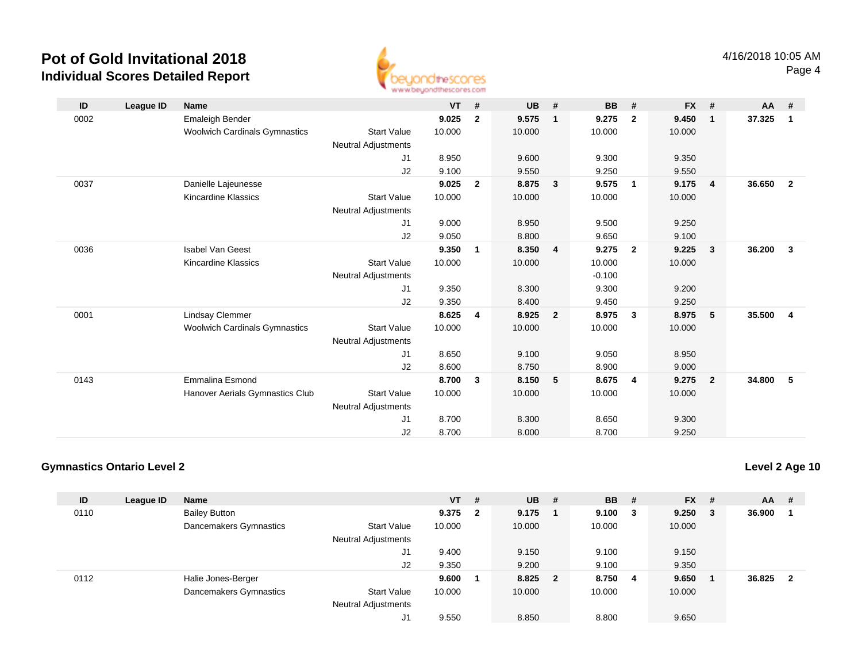

| ID   | League ID | <b>Name</b>                          |                            | $VT$ # |                | <b>UB</b> | #              | <b>BB</b> | #              | $FX$ # |                         | <b>AA</b> | #              |
|------|-----------|--------------------------------------|----------------------------|--------|----------------|-----------|----------------|-----------|----------------|--------|-------------------------|-----------|----------------|
| 0002 |           | Emaleigh Bender                      |                            | 9.025  | $\overline{2}$ | 9.575     | $\mathbf{1}$   | 9.275     | $\mathbf{2}$   | 9.450  | $\overline{\mathbf{1}}$ | 37.325    | $\overline{1}$ |
|      |           | <b>Woolwich Cardinals Gymnastics</b> | <b>Start Value</b>         | 10.000 |                | 10.000    |                | 10.000    |                | 10.000 |                         |           |                |
|      |           |                                      | <b>Neutral Adjustments</b> |        |                |           |                |           |                |        |                         |           |                |
|      |           |                                      | J1                         | 8.950  |                | 9.600     |                | 9.300     |                | 9.350  |                         |           |                |
|      |           |                                      | J2                         | 9.100  |                | 9.550     |                | 9.250     |                | 9.550  |                         |           |                |
| 0037 |           | Danielle Lajeunesse                  |                            | 9.025  | $\overline{2}$ | 8.875     | 3              | 9.575     | $\overline{1}$ | 9.175  | $\overline{4}$          | 36.650    | $\overline{2}$ |
|      |           | Kincardine Klassics                  | <b>Start Value</b>         | 10.000 |                | 10.000    |                | 10.000    |                | 10.000 |                         |           |                |
|      |           |                                      | <b>Neutral Adjustments</b> |        |                |           |                |           |                |        |                         |           |                |
|      |           |                                      | J1                         | 9.000  |                | 8.950     |                | 9.500     |                | 9.250  |                         |           |                |
|      |           |                                      | J2                         | 9.050  |                | 8.800     |                | 9.650     |                | 9.100  |                         |           |                |
| 0036 |           | <b>Isabel Van Geest</b>              |                            | 9.350  | $\mathbf{1}$   | 8.350     | 4              | 9.275     | $\overline{2}$ | 9.225  | $\mathbf{3}$            | 36.200    | $\mathbf{3}$   |
|      |           | <b>Kincardine Klassics</b>           | <b>Start Value</b>         | 10.000 |                | 10.000    |                | 10.000    |                | 10.000 |                         |           |                |
|      |           |                                      |                            |        |                |           |                |           |                |        |                         |           |                |
|      |           |                                      | <b>Neutral Adjustments</b> |        |                |           |                | $-0.100$  |                |        |                         |           |                |
|      |           |                                      | J1                         | 9.350  |                | 8.300     |                | 9.300     |                | 9.200  |                         |           |                |
|      |           |                                      | J2                         | 9.350  |                | 8.400     |                | 9.450     |                | 9.250  |                         |           |                |
| 0001 |           | <b>Lindsay Clemmer</b>               |                            | 8.625  | 4              | 8.925     | $\overline{2}$ | 8.975     | $\mathbf{3}$   | 8.975  | 5                       | 35.500    | $\overline{4}$ |
|      |           | <b>Woolwich Cardinals Gymnastics</b> | <b>Start Value</b>         | 10.000 |                | 10.000    |                | 10.000    |                | 10.000 |                         |           |                |
|      |           |                                      | <b>Neutral Adjustments</b> |        |                |           |                |           |                |        |                         |           |                |
|      |           |                                      | J1                         | 8.650  |                | 9.100     |                | 9.050     |                | 8.950  |                         |           |                |
|      |           |                                      | J2                         | 8.600  |                | 8.750     |                | 8.900     |                | 9.000  |                         |           |                |
| 0143 |           | <b>Emmalina Esmond</b>               |                            | 8.700  | 3              | 8.150     | 5              | 8.675     | 4              | 9.275  | $\overline{\mathbf{2}}$ | 34.800    | - 5            |
|      |           | Hanover Aerials Gymnastics Club      | <b>Start Value</b>         | 10.000 |                | 10.000    |                | 10.000    |                | 10.000 |                         |           |                |
|      |           |                                      | <b>Neutral Adjustments</b> |        |                |           |                |           |                |        |                         |           |                |
|      |           |                                      | J <sub>1</sub>             | 8.700  |                | 8.300     |                | 8.650     |                | 9.300  |                         |           |                |
|      |           |                                      | J2                         | 8.700  |                | 8.000     |                | 8.700     |                | 9.250  |                         |           |                |
|      |           |                                      |                            |        |                |           |                |           |                |        |                         |           |                |

### **Gymnastics Ontario Level 2**

**Level 2 Age 10**

| ID   | League ID | <b>Name</b>            |                            | $VT$ # |     | <b>UB</b> | - # | <b>BB</b> | -#     | <b>FX</b> | #  | <b>AA</b> | -#             |
|------|-----------|------------------------|----------------------------|--------|-----|-----------|-----|-----------|--------|-----------|----|-----------|----------------|
| 0110 |           | <b>Bailey Button</b>   |                            | 9.375  | - 2 | 9.175     |     | 9.100     | $_{3}$ | 9.250     | -3 | 36.900    |                |
|      |           | Dancemakers Gymnastics | <b>Start Value</b>         | 10.000 |     | 10.000    |     | 10.000    |        | 10.000    |    |           |                |
|      |           |                        | <b>Neutral Adjustments</b> |        |     |           |     |           |        |           |    |           |                |
|      |           |                        | J1                         | 9.400  |     | 9.150     |     | 9.100     |        | 9.150     |    |           |                |
|      |           |                        | J2                         | 9.350  |     | 9.200     |     | 9.100     |        | 9.350     |    |           |                |
| 0112 |           | Halie Jones-Berger     |                            | 9.600  |     | 8.825 2   |     | 8.750     | -4     | 9.650     |    | 36.825    | $\overline{2}$ |
|      |           | Dancemakers Gymnastics | <b>Start Value</b>         | 10.000 |     | 10.000    |     | 10.000    |        | 10.000    |    |           |                |
|      |           |                        | <b>Neutral Adjustments</b> |        |     |           |     |           |        |           |    |           |                |
|      |           |                        | J1                         | 9.550  |     | 8.850     |     | 8.800     |        | 9.650     |    |           |                |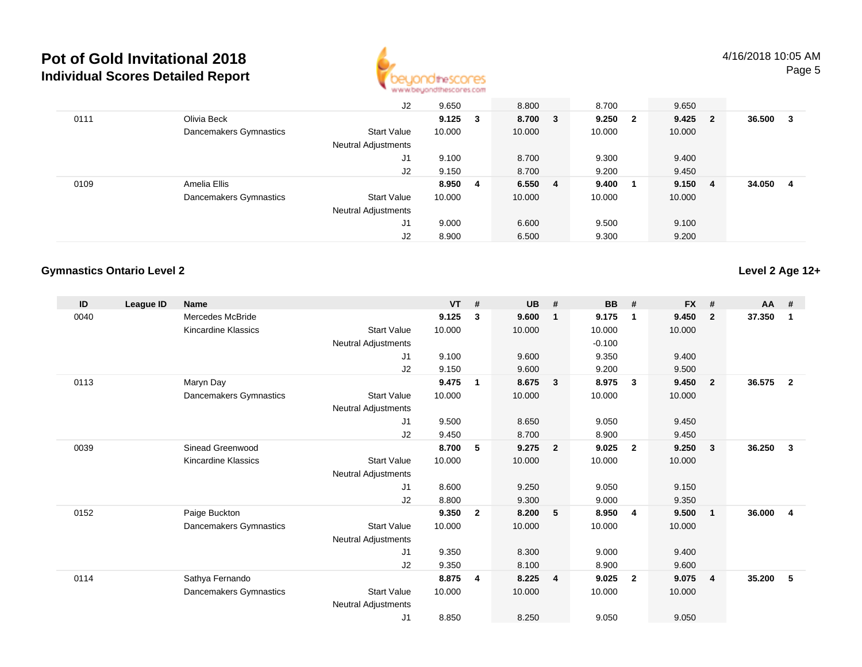

|      |                        | J2                         | 9.650           |    | 8.800   | 8.700  |                         | 9.650  |                         |        |   |
|------|------------------------|----------------------------|-----------------|----|---------|--------|-------------------------|--------|-------------------------|--------|---|
| 0111 | Olivia Beck            |                            | $9.125 \quad 3$ |    | 8.700 3 | 9.250  | $\overline{\mathbf{2}}$ | 9.425  | $\overline{\mathbf{2}}$ | 36.500 | 3 |
|      | Dancemakers Gymnastics | <b>Start Value</b>         | 10.000          |    | 10.000  | 10.000 |                         | 10.000 |                         |        |   |
|      |                        | <b>Neutral Adjustments</b> |                 |    |         |        |                         |        |                         |        |   |
|      |                        | J1                         | 9.100           |    | 8.700   | 9.300  |                         | 9.400  |                         |        |   |
|      |                        | J2                         | 9.150           |    | 8.700   | 9.200  |                         | 9.450  |                         |        |   |
| 0109 | Amelia Ellis           |                            | 8.950           | -4 | 6.550 4 | 9.400  | - 1                     | 9.150  | -4                      | 34.050 | 4 |
|      | Dancemakers Gymnastics | <b>Start Value</b>         | 10.000          |    | 10.000  | 10.000 |                         | 10.000 |                         |        |   |
|      |                        | <b>Neutral Adjustments</b> |                 |    |         |        |                         |        |                         |        |   |
|      |                        | J1                         | 9.000           |    | 6.600   | 9.500  |                         | 9.100  |                         |        |   |
|      |                        | J2                         | 8.900           |    | 6.500   | 9.300  |                         | 9.200  |                         |        |   |

### **Gymnastics Ontario Level 2**

**Level 2 Age 12+**

| ID   | League ID | <b>Name</b>            |                            | <b>VT</b> | #              | <b>UB</b> | #                       | BB       | #                       | <b>FX</b> | #            | $AA$ # |                |
|------|-----------|------------------------|----------------------------|-----------|----------------|-----------|-------------------------|----------|-------------------------|-----------|--------------|--------|----------------|
| 0040 |           | Mercedes McBride       |                            | 9.125     | 3              | 9.600     | $\mathbf{1}$            | 9.175    | $\mathbf{1}$            | 9.450     | $\mathbf{2}$ | 37.350 | 1              |
|      |           | Kincardine Klassics    | <b>Start Value</b>         | 10.000    |                | 10.000    |                         | 10.000   |                         | 10.000    |              |        |                |
|      |           |                        | Neutral Adjustments        |           |                |           |                         | $-0.100$ |                         |           |              |        |                |
|      |           |                        | J1                         | 9.100     |                | 9.600     |                         | 9.350    |                         | 9.400     |              |        |                |
|      |           |                        | J2                         | 9.150     |                | 9.600     |                         | 9.200    |                         | 9.500     |              |        |                |
| 0113 |           | Maryn Day              |                            | 9.475     | 1              | 8.675     | $\overline{\mathbf{3}}$ | 8.975    | -3                      | 9.450     | $\mathbf{2}$ | 36.575 | $\overline{2}$ |
|      |           | Dancemakers Gymnastics | <b>Start Value</b>         | 10.000    |                | 10.000    |                         | 10.000   |                         | 10.000    |              |        |                |
|      |           |                        | Neutral Adjustments        |           |                |           |                         |          |                         |           |              |        |                |
|      |           |                        | J1                         | 9.500     |                | 8.650     |                         | 9.050    |                         | 9.450     |              |        |                |
|      |           |                        | J2                         | 9.450     |                | 8.700     |                         | 8.900    |                         | 9.450     |              |        |                |
| 0039 |           | Sinead Greenwood       |                            | 8.700     | 5              | 9.275     | $\overline{\mathbf{2}}$ | 9.025    | $\overline{\mathbf{2}}$ | 9.250     | 3            | 36.250 | 3              |
|      |           | Kincardine Klassics    | <b>Start Value</b>         | 10.000    |                | 10.000    |                         | 10.000   |                         | 10.000    |              |        |                |
|      |           |                        | <b>Neutral Adjustments</b> |           |                |           |                         |          |                         |           |              |        |                |
|      |           |                        | J <sub>1</sub>             | 8.600     |                | 9.250     |                         | 9.050    |                         | 9.150     |              |        |                |
|      |           |                        | J2                         | 8.800     |                | 9.300     |                         | 9.000    |                         | 9.350     |              |        |                |
| 0152 |           | Paige Buckton          |                            | 9.350     | $\overline{2}$ | 8.200     | 5                       | 8.950    | -4                      | 9.500     | $\mathbf{1}$ | 36.000 | $\overline{4}$ |
|      |           | Dancemakers Gymnastics | <b>Start Value</b>         | 10.000    |                | 10.000    |                         | 10.000   |                         | 10.000    |              |        |                |
|      |           |                        | <b>Neutral Adjustments</b> |           |                |           |                         |          |                         |           |              |        |                |
|      |           |                        | J1                         | 9.350     |                | 8.300     |                         | 9.000    |                         | 9.400     |              |        |                |
|      |           |                        | J2                         | 9.350     |                | 8.100     |                         | 8.900    |                         | 9.600     |              |        |                |
| 0114 |           | Sathya Fernando        |                            | 8.875     | 4              | 8.225     | $\overline{4}$          | 9.025    | $\overline{\mathbf{2}}$ | 9.075     | 4            | 35.200 | 5              |
|      |           | Dancemakers Gymnastics | <b>Start Value</b>         | 10.000    |                | 10.000    |                         | 10.000   |                         | 10.000    |              |        |                |
|      |           |                        | <b>Neutral Adjustments</b> |           |                |           |                         |          |                         |           |              |        |                |
|      |           |                        | J1                         | 8.850     |                | 8.250     |                         | 9.050    |                         | 9.050     |              |        |                |